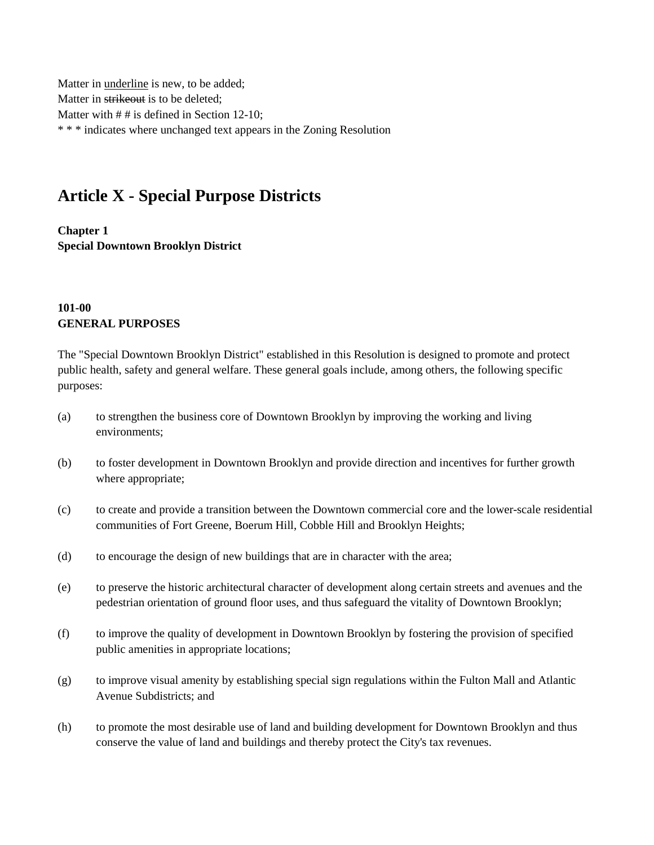Matter in underline is new, to be added; Matter in strikeout is to be deleted; Matter with  $# #$  is defined in Section 12-10; \* \* \* indicates where unchanged text appears in the Zoning Resolution

# **Article X - Special Purpose Districts**

**Chapter 1 Special Downtown Brooklyn District**

### **101-00 GENERAL PURPOSES**

The "Special Downtown Brooklyn District" established in this Resolution is designed to promote and protect public health, safety and general welfare. These general goals include, among others, the following specific purposes:

- (a) to strengthen the business core of Downtown Brooklyn by improving the working and living environments;
- (b) to foster development in Downtown Brooklyn and provide direction and incentives for further growth where appropriate;
- (c) to create and provide a transition between the Downtown commercial core and the lower-scale residential communities of Fort Greene, Boerum Hill, Cobble Hill and Brooklyn Heights;
- (d) to encourage the design of new buildings that are in character with the area;
- (e) to preserve the historic architectural character of development along certain streets and avenues and the pedestrian orientation of ground floor uses, and thus safeguard the vitality of Downtown Brooklyn;
- (f) to improve the quality of development in Downtown Brooklyn by fostering the provision of specified public amenities in appropriate locations;
- (g) to improve visual amenity by establishing special sign regulations within the Fulton Mall and Atlantic Avenue Subdistricts; and
- (h) to promote the most desirable use of land and building development for Downtown Brooklyn and thus conserve the value of land and buildings and thereby protect the City's tax revenues.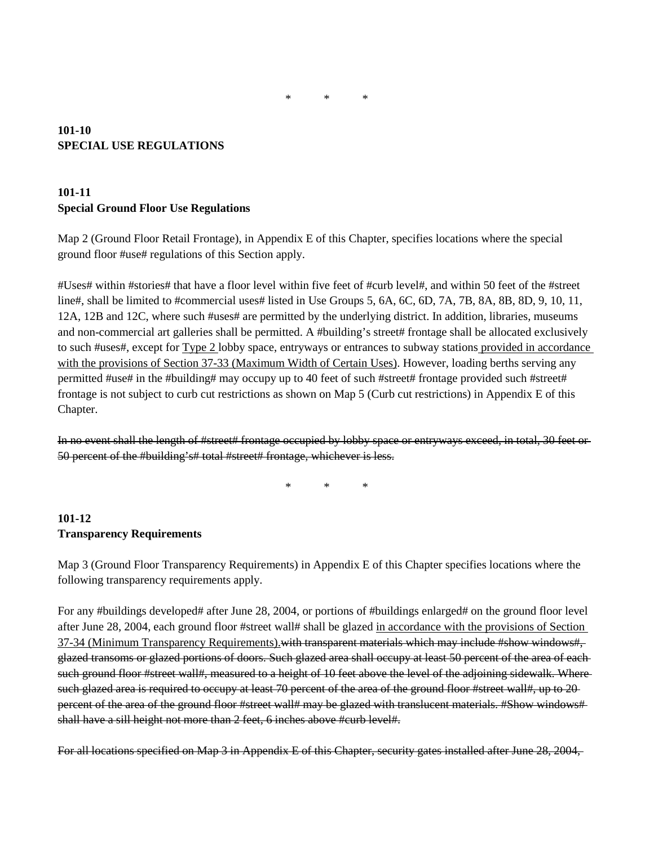### **101-10 SPECIAL USE REGULATIONS**

### **101-11 Special Ground Floor Use Regulations**

Map 2 (Ground Floor Retail Frontage), in Appendix E of this Chapter, specifies locations where the special ground floor #use# regulations of this Section apply.

#Uses# within #stories# that have a floor level within five feet of #curb level#, and within 50 feet of the #street line#, shall be limited to #commercial uses# listed in Use Groups 5, 6A, 6C, 6D, 7A, 7B, 8A, 8B, 8D, 9, 10, 11, 12A, 12B and 12C, where such #uses# are permitted by the underlying district. In addition, libraries, museums and non-commercial art galleries shall be permitted. A #building's street# frontage shall be allocated exclusively to such #uses#, except for Type 2 lobby space, entryways or entrances to subway stations provided in accordance with the provisions of Section 37-33 (Maximum Width of Certain Uses). However, loading berths serving any permitted #use# in the #building# may occupy up to 40 feet of such #street# frontage provided such #street# frontage is not subject to curb cut restrictions as shown on Map 5 (Curb cut restrictions) in Appendix E of this Chapter.

In no event shall the length of #street# frontage occupied by lobby space or entryways exceed, in total, 30 feet or 50 percent of the #building's# total #street# frontage, whichever is less.

\* \* \*

# **101-12 Transparency Requirements**

Map 3 (Ground Floor Transparency Requirements) in Appendix E of this Chapter specifies locations where the following transparency requirements apply.

For any #buildings developed# after June 28, 2004, or portions of #buildings enlarged# on the ground floor level after June 28, 2004, each ground floor #street wall# shall be glazed in accordance with the provisions of Section 37-34 (Minimum Transparency Requirements). with transparent materials which may include #show windows#, glazed transoms or glazed portions of doors. Such glazed area shall occupy at least 50 percent of the area of each such ground floor #street wall#, measured to a height of 10 feet above the level of the adjoining sidewalk. Where such glazed area is required to occupy at least 70 percent of the area of the ground floor #street wall#, up to 20percent of the area of the ground floor #street wall# may be glazed with translucent materials. #Show windows# shall have a sill height not more than 2 feet, 6 inches above #curb level#.

For all locations specified on Map 3 in Appendix E of this Chapter, security gates installed after June 28, 2004,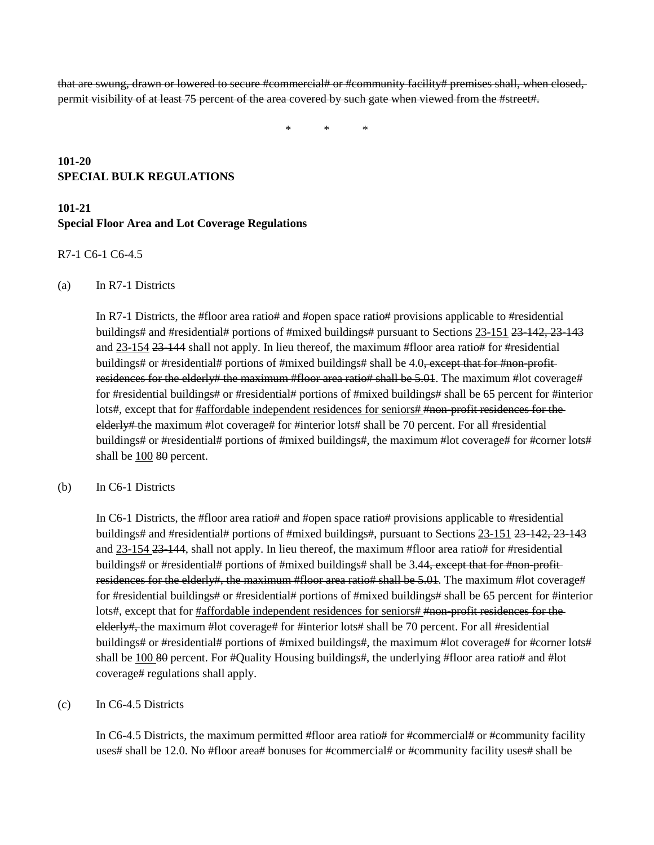that are swung, drawn or lowered to secure #commercial# or #community facility# premises shall, when closed, permit visibility of at least 75 percent of the area covered by such gate when viewed from the #street#.

\* \* \*

### **101-20 SPECIAL BULK REGULATIONS**

# **101-21 Special Floor Area and Lot Coverage Regulations**

#### R7-1 C6-1 C6-4.5

#### (a) In R7-1 Districts

In R7-1 Districts, the #floor area ratio# and #open space ratio# provisions applicable to #residential buildings# and #residential# portions of #mixed buildings# pursuant to Sections 23-151 23-142, 23-143 and 23-154 23-144 shall not apply. In lieu thereof, the maximum #floor area ratio# for #residential buildings# or #residential# portions of #mixed buildings# shall be 4.0, except that for #non-profitresidences for the elderly# the maximum #floor area ratio# shall be 5.01. The maximum #lot coverage# for #residential buildings# or #residential# portions of #mixed buildings# shall be 65 percent for #interior lots#, except that for #affordable independent residences for seniors# #non-profit residences for the elderly# the maximum #lot coverage# for #interior lots# shall be 70 percent. For all #residential buildings# or #residential# portions of #mixed buildings#, the maximum #lot coverage# for #corner lots# shall be 100 80 percent.

#### (b) In C6-1 Districts

In C6-1 Districts, the #floor area ratio# and #open space ratio# provisions applicable to #residential buildings# and #residential# portions of #mixed buildings#, pursuant to Sections 23-151 23-142, 23-143 and 23-154 23-144, shall not apply. In lieu thereof, the maximum #floor area ratio# for #residential buildings# or #residential# portions of #mixed buildings# shall be 3.44, except that for #non-profitresidences for the elderly#, the maximum #floor area ratio# shall be 5.01. The maximum #lot coverage# for #residential buildings# or #residential# portions of #mixed buildings# shall be 65 percent for #interior lots#, except that for #affordable independent residences for seniors# #non-profit residences for the elderly#, the maximum #lot coverage# for #interior lots# shall be 70 percent. For all #residential buildings# or #residential# portions of #mixed buildings#, the maximum #lot coverage# for #corner lots# shall be 100  $\frac{1}{20}$  percent. For #Quality Housing buildings#, the underlying #floor area ratio# and #lot coverage# regulations shall apply.

#### (c) In C6-4.5 Districts

In C6-4.5 Districts, the maximum permitted #floor area ratio# for #commercial# or #community facility uses# shall be 12.0. No #floor area# bonuses for #commercial# or #community facility uses# shall be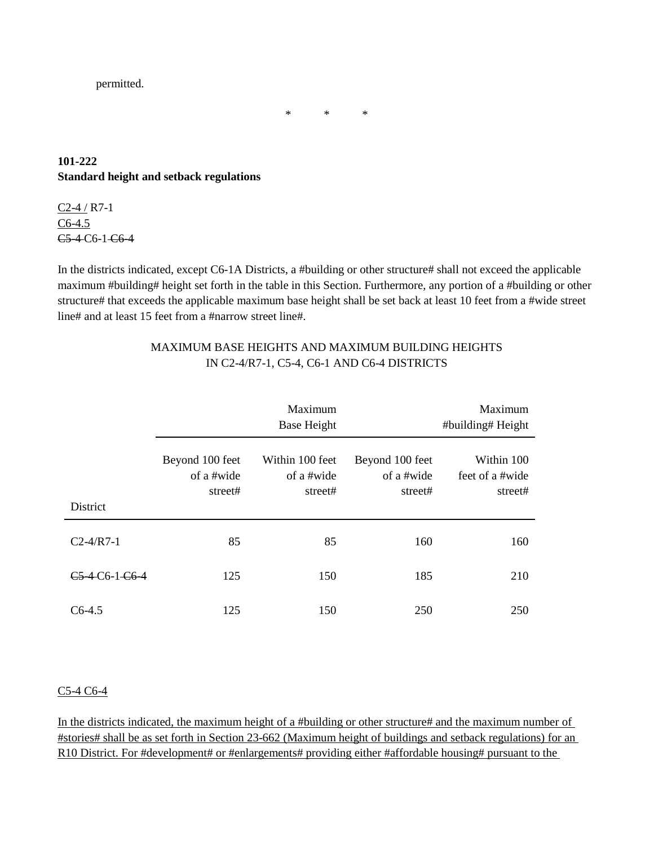permitted.

### **101-222 Standard height and setback regulations**

C2-4 / R7-1 C6-4.5 C5-4 C6-1 C6-4

In the districts indicated, except C6-1A Districts, a #building or other structure# shall not exceed the applicable maximum #building# height set forth in the table in this Section. Furthermore, any portion of a #building or other structure# that exceeds the applicable maximum base height shall be set back at least 10 feet from a #wide street line# and at least 15 feet from a #narrow street line#.

\* \* \*

|                |                                          | Maximum<br>Base Height                   |                                          | Maximum<br>#building# Height             |
|----------------|------------------------------------------|------------------------------------------|------------------------------------------|------------------------------------------|
| District       | Beyond 100 feet<br>of a #wide<br>street# | Within 100 feet<br>of a #wide<br>street# | Beyond 100 feet<br>of a #wide<br>street# | Within 100<br>feet of a #wide<br>street# |
| $C2-4/R7-1$    | 85                                       | 85                                       | 160                                      | 160                                      |
| C5-4-C6-1-C6-4 | 125                                      | 150                                      | 185                                      | 210                                      |
| $C6-4.5$       | 125                                      | 150                                      | 250                                      | 250                                      |

### MAXIMUM BASE HEIGHTS AND MAXIMUM BUILDING HEIGHTS IN C2-4/R7-1, C5-4, C6-1 AND C6-4 DISTRICTS

### C5-4 C6-4

In the districts indicated, the maximum height of a #building or other structure# and the maximum number of #stories# shall be as set forth in Section 23-662 (Maximum height of buildings and setback regulations) for an R10 District. For #development# or #enlargements# providing either #affordable housing# pursuant to the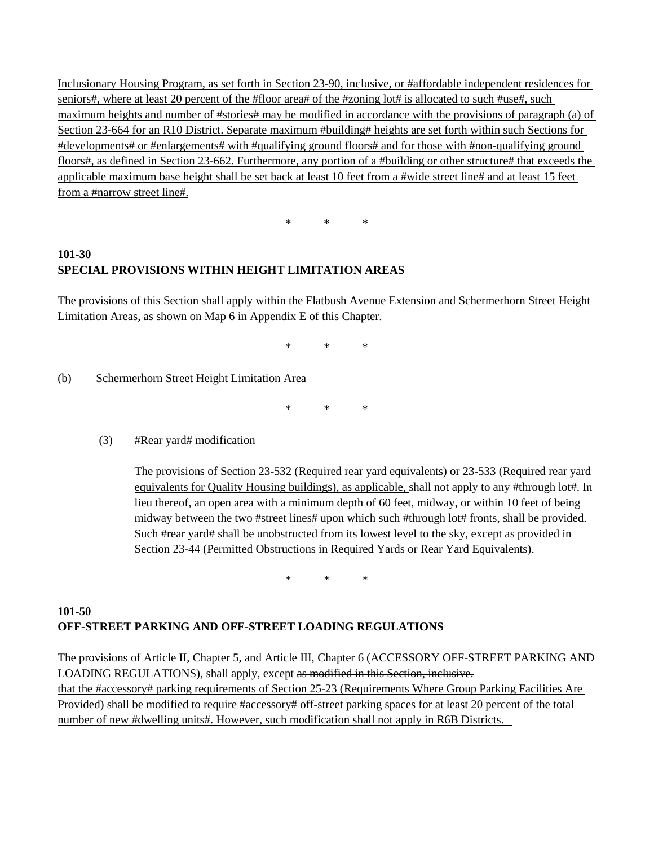Inclusionary Housing Program, as set forth in Section 23-90, inclusive, or #affordable independent residences for seniors#, where at least 20 percent of the #floor area# of the #zoning lot# is allocated to such #use#, such maximum heights and number of #stories# may be modified in accordance with the provisions of paragraph (a) of Section 23-664 for an R10 District. Separate maximum #building# heights are set forth within such Sections for #developments# or #enlargements# with #qualifying ground floors# and for those with #non-qualifying ground floors#, as defined in Section 23-662. Furthermore, any portion of a #building or other structure# that exceeds the applicable maximum base height shall be set back at least 10 feet from a #wide street line# and at least 15 feet from a #narrow street line#.

\* \* \*

# **101-30 SPECIAL PROVISIONS WITHIN HEIGHT LIMITATION AREAS**

The provisions of this Section shall apply within the Flatbush Avenue Extension and Schermerhorn Street Height Limitation Areas, as shown on Map 6 in Appendix E of this Chapter.

\* \* \*

(b) Schermerhorn Street Height Limitation Area

\* \* \*

(3) #Rear yard# modification

The provisions of Section 23-532 (Required rear yard equivalents) or 23-533 (Required rear yard equivalents for Quality Housing buildings), as applicable, shall not apply to any #through lot#. In lieu thereof, an open area with a minimum depth of 60 feet, midway, or within 10 feet of being midway between the two #street lines# upon which such #through lot# fronts, shall be provided. Such #rear yard# shall be unobstructed from its lowest level to the sky, except as provided in Section 23-44 (Permitted Obstructions in Required Yards or Rear Yard Equivalents).

\* \* \*

# **101-50 OFF-STREET PARKING AND OFF-STREET LOADING REGULATIONS**

The provisions of Article II, Chapter 5, and Article III, Chapter 6 (ACCESSORY OFF-STREET PARKING AND LOADING REGULATIONS), shall apply, except as modified in this Section, inclusive. that the #accessory# parking requirements of Section 25-23 (Requirements Where Group Parking Facilities Are Provided) shall be modified to require #accessory# off-street parking spaces for at least 20 percent of the total number of new #dwelling units#. However, such modification shall not apply in R6B Districts.